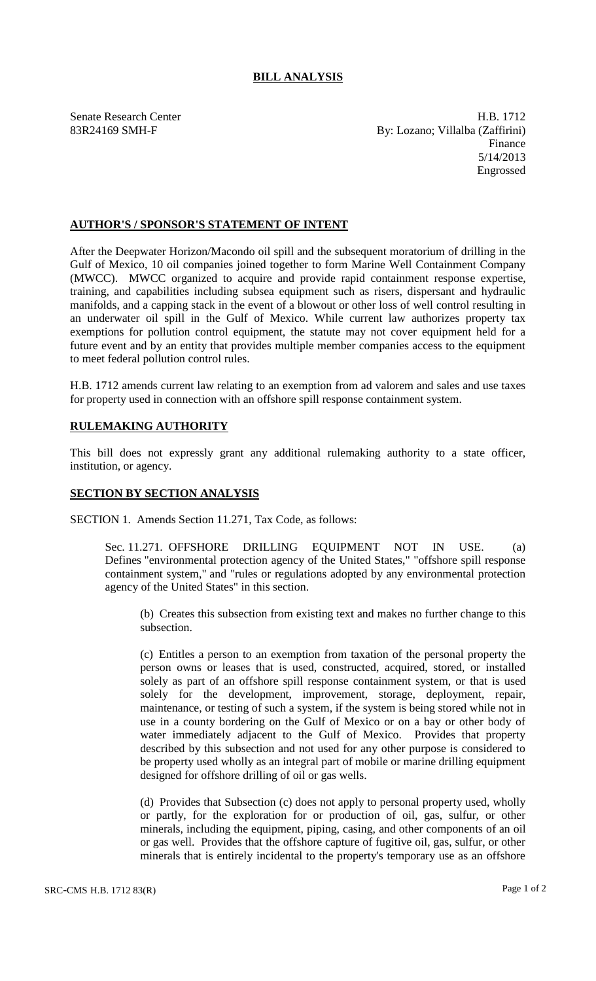## **BILL ANALYSIS**

Senate Research Center **H.B. 1712** 83R24169 SMH-F By: Lozano; Villalba (Zaffirini) Finance 5/14/2013 Engrossed

## **AUTHOR'S / SPONSOR'S STATEMENT OF INTENT**

After the Deepwater Horizon/Macondo oil spill and the subsequent moratorium of drilling in the Gulf of Mexico, 10 oil companies joined together to form Marine Well Containment Company (MWCC). MWCC organized to acquire and provide rapid containment response expertise, training, and capabilities including subsea equipment such as risers, dispersant and hydraulic manifolds, and a capping stack in the event of a blowout or other loss of well control resulting in an underwater oil spill in the Gulf of Mexico. While current law authorizes property tax exemptions for pollution control equipment, the statute may not cover equipment held for a future event and by an entity that provides multiple member companies access to the equipment to meet federal pollution control rules.

H.B. 1712 amends current law relating to an exemption from ad valorem and sales and use taxes for property used in connection with an offshore spill response containment system.

## **RULEMAKING AUTHORITY**

This bill does not expressly grant any additional rulemaking authority to a state officer, institution, or agency.

## **SECTION BY SECTION ANALYSIS**

SECTION 1. Amends Section 11.271, Tax Code, as follows:

Sec. 11.271. OFFSHORE DRILLING EQUIPMENT NOT IN USE. (a) Defines "environmental protection agency of the United States," "offshore spill response containment system," and "rules or regulations adopted by any environmental protection agency of the United States" in this section.

(b) Creates this subsection from existing text and makes no further change to this subsection.

(c) Entitles a person to an exemption from taxation of the personal property the person owns or leases that is used, constructed, acquired, stored, or installed solely as part of an offshore spill response containment system, or that is used solely for the development, improvement, storage, deployment, repair, maintenance, or testing of such a system, if the system is being stored while not in use in a county bordering on the Gulf of Mexico or on a bay or other body of water immediately adjacent to the Gulf of Mexico. Provides that property described by this subsection and not used for any other purpose is considered to be property used wholly as an integral part of mobile or marine drilling equipment designed for offshore drilling of oil or gas wells.

(d) Provides that Subsection (c) does not apply to personal property used, wholly or partly, for the exploration for or production of oil, gas, sulfur, or other minerals, including the equipment, piping, casing, and other components of an oil or gas well. Provides that the offshore capture of fugitive oil, gas, sulfur, or other minerals that is entirely incidental to the property's temporary use as an offshore